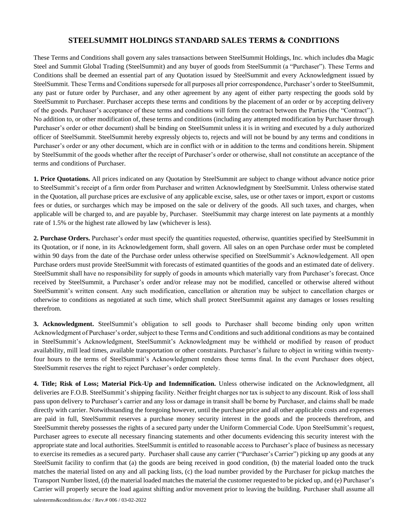These Terms and Conditions shall govern any sales transactions between SteelSummit Holdings, Inc. which includes dba Magic Steel and Summit Global Trading (SteelSummit) and any buyer of goods from SteelSummit (a "Purchaser"). These Terms and Conditions shall be deemed an essential part of any Quotation issued by SteelSummit and every Acknowledgment issued by SteelSummit. These Terms and Conditions supersede for all purposes all prior correspondence, Purchaser's order to SteelSummit, any past or future order by Purchaser, and any other agreement by any agent of either party respecting the goods sold by SteelSummit to Purchaser. Purchaser accepts these terms and conditions by the placement of an order or by accepting delivery of the goods. Purchaser's acceptance of these terms and conditions will form the contract between the Parties (the "Contract"). No addition to, or other modification of, these terms and conditions (including any attempted modification by Purchaser through Purchaser's order or other document) shall be binding on SteelSummit unless it is in writing and executed by a duly authorized officer of SteelSummit. SteelSummit hereby expressly objects to, rejects and will not be bound by any terms and conditions in Purchaser's order or any other document, which are in conflict with or in addition to the terms and conditions herein. Shipment by SteelSummit of the goods whether after the receipt of Purchaser's order or otherwise, shall not constitute an acceptance of the terms and conditions of Purchaser.

**1. Price Quotations.** All prices indicated on any Quotation by SteelSummit are subject to change without advance notice prior to SteelSummit's receipt of a firm order from Purchaser and written Acknowledgment by SteelSummit. Unless otherwise stated in the Quotation, all purchase prices are exclusive of any applicable excise, sales, use or other taxes or import, export or customs fees or duties, or surcharges which may be imposed on the sale or delivery of the goods. All such taxes, and charges, when applicable will be charged to, and are payable by, Purchaser. SteelSummit may charge interest on late payments at a monthly rate of 1.5% or the highest rate allowed by law (whichever is less).

**2. Purchase Orders.** Purchaser's order must specify the quantities requested, otherwise, quantities specified by SteelSummit in its Quotation, or if none, in its Acknowledgement form, shall govern. All sales on an open Purchase order must be completed within 90 days from the date of the Purchase order unless otherwise specified on SteelSummit's Acknowledgement. All open Purchase orders must provide SteelSummit with forecasts of estimated quantities of the goods and an estimated date of delivery. SteelSummit shall have no responsibility for supply of goods in amounts which materially vary from Purchaser's forecast. Once received by SteelSummit, a Purchaser's order and/or release may not be modified, cancelled or otherwise altered without SteelSummit's written consent. Any such modification, cancellation or alteration may be subject to cancellation charges or otherwise to conditions as negotiated at such time, which shall protect SteelSummit against any damages or losses resulting therefrom.

**3. Acknowledgment.** SteelSummit's obligation to sell goods to Purchaser shall become binding only upon written Acknowledgment of Purchaser's order, subject to these Terms and Conditions and such additional conditions as may be contained in SteelSummit's Acknowledgment, SteelSummit's Acknowledgment may be withheld or modified by reason of product availability, mill lead times, available transportation or other constraints. Purchaser's failure to object in writing within twentyfour hours to the terms of SteelSummit's Acknowledgment renders those terms final. In the event Purchaser does object, SteelSummit reserves the right to reject Purchaser's order completely.

**4. Title; Risk of Loss; Material Pick-Up and Indemnification.** Unless otherwise indicated on the Acknowledgment, all deliveries are F.O.B. SteelSummit's shipping facility. Neither freight charges nor tax is subject to any discount. Risk of loss shall pass upon delivery to Purchaser's carrier and any loss or damage in transit shall be borne by Purchaser, and claims shall be made directly with carrier. Notwithstanding the foregoing however, until the purchase price and all other applicable costs and expenses are paid in full, SteelSummit reserves a purchase money security interest in the goods and the proceeds therefrom, and SteelSummit thereby possesses the rights of a secured party under the Uniform Commercial Code. Upon SteelSummit's request, Purchaser agrees to execute all necessary financing statements and other documents evidencing this security interest with the appropriate state and local authorities. SteelSummit is entitled to reasonable access to Purchaser's place of business as necessary to exercise its remedies as a secured party. Purchaser shall cause any carrier ("Purchaser's Carrier") picking up any goods at any SteelSumit facility to confirm that (a) the goods are being received in good condition, (b) the material loaded onto the truck matches the material listed on any and all packing lists, (c) the load number provided by the Purchaser for pickup matches the Transport Number listed, (d) the material loaded matches the material the customer requested to be picked up, and (e) Purchaser's Carrier will properly secure the load against shifting and/or movement prior to leaving the building. Purchaser shall assume all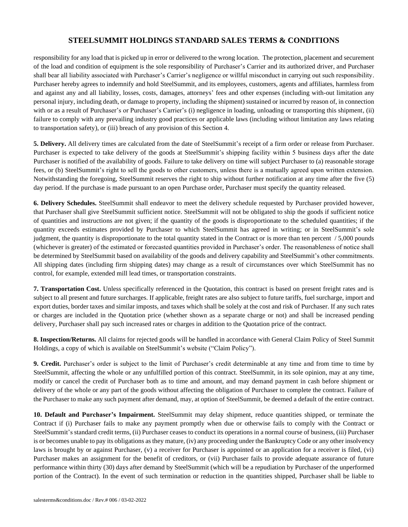responsibility for any load that is picked up in error or delivered to the wrong location. The protection, placement and securement of the load and condition of equipment is the sole responsibility of Purchaser's Carrier and its authorized driver, and Purchaser shall bear all liability associated with Purchaser's Carrier's negligence or willful misconduct in carrying out such responsibility. Purchaser hereby agrees to indemnify and hold SteelSummit, and its employees, customers, agents and affiliates, harmless from and against any and all liability, losses, costs, damages, attorneys' fees and other expenses (including with-out limitation any personal injury, including death, or damage to property, including the shipment) sustained or incurred by reason of, in connection with or as a result of Purchaser's or Purchaser's Carrier's (i) negligence in loading, unloading or transporting this shipment, (ii) failure to comply with any prevailing industry good practices or applicable laws (including without limitation any laws relating to transportation safety), or (iii) breach of any provision of this Section 4.

**5. Delivery.** All delivery times are calculated from the date of SteelSummit's receipt of a firm order or release from Purchaser. Purchaser is expected to take delivery of the goods at SteelSummit's shipping facility within 5 business days after the date Purchaser is notified of the availability of goods. Failure to take delivery on time will subject Purchaser to (a) reasonable storage fees, or (b) SteelSummit's right to sell the goods to other customers, unless there is a mutually agreed upon written extension. Notwithstanding the foregoing, SteelSummit reserves the right to ship without further notification at any time after the five (5) day period. If the purchase is made pursuant to an open Purchase order, Purchaser must specify the quantity released.

**6. Delivery Schedules.** SteelSummit shall endeavor to meet the delivery schedule requested by Purchaser provided however, that Purchaser shall give SteelSummit sufficient notice. SteelSummit will not be obligated to ship the goods if sufficient notice of quantities and instructions are not given; if the quantity of the goods is disproportionate to the scheduled quantities; if the quantity exceeds estimates provided by Purchaser to which SteelSummit has agreed in writing; or in SteelSummit's sole judgment, the quantity is disproportionate to the total quantity stated in the Contract or is more than ten percent / 5,000 pounds (whichever is greater) of the estimated or forecasted quantities provided in Purchaser's order. The reasonableness of notice shall be determined by SteelSummit based on availability of the goods and delivery capability and SteelSummit's other commitments. All shipping dates (including firm shipping dates) may change as a result of circumstances over which SteelSummit has no control, for example, extended mill lead times, or transportation constraints.

**7. Transportation Cost.** Unless specifically referenced in the Quotation, this contract is based on present freight rates and is subject to all present and future surcharges. If applicable, freight rates are also subject to future tariffs, fuel surcharge, import and export duties, border taxes and similar imposts, and taxes which shall be solely at the cost and risk of Purchaser. If any such rates or charges are included in the Quotation price (whether shown as a separate charge or not) and shall be increased pending delivery, Purchaser shall pay such increased rates or charges in addition to the Quotation price of the contract.

**8. Inspection/Returns.** All claims for rejected goods will be handled in accordance with General Claim Policy of Steel Summit Holdings, a copy of which is available on SteelSummit's website ("Claim Policy").

**9. Credit.** Purchaser's order is subject to the limit of Purchaser's credit determinable at any time and from time to time by SteelSummit, affecting the whole or any unfulfilled portion of this contract. SteelSummit, in its sole opinion, may at any time, modify or cancel the credit of Purchaser both as to time and amount, and may demand payment in cash before shipment or delivery of the whole or any part of the goods without affecting the obligation of Purchaser to complete the contract. Failure of the Purchaser to make any such payment after demand, may, at option of SteelSummit, be deemed a default of the entire contract.

**10. Default and Purchaser's Impairment.** SteelSummit may delay shipment, reduce quantities shipped, or terminate the Contract if (i) Purchaser fails to make any payment promptly when due or otherwise fails to comply with the Contract or SteelSummit's standard credit terms, (ii) Purchaser ceases to conduct its operations in a normal course of business, (iii) Purchaser is or becomes unable to pay its obligations as they mature, (iv) any proceeding under the Bankruptcy Code or any other insolvency laws is brought by or against Purchaser, (v) a receiver for Purchaser is appointed or an application for a receiver is filed, (vi) Purchaser makes an assignment for the benefit of creditors, or (vii) Purchaser fails to provide adequate assurance of future performance within thirty (30) days after demand by SteelSummit (which will be a repudiation by Purchaser of the unperformed portion of the Contract). In the event of such termination or reduction in the quantities shipped, Purchaser shall be liable to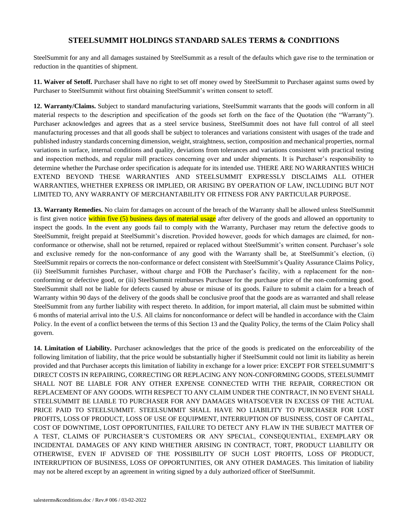SteelSummit for any and all damages sustained by SteelSummit as a result of the defaults which gave rise to the termination or reduction in the quantities of shipment.

**11. Waiver of Setoff.** Purchaser shall have no right to set off money owed by SteelSummit to Purchaser against sums owed by Purchaser to SteelSummit without first obtaining SteelSummit's written consent to setoff.

**12. Warranty/Claims.** Subject to standard manufacturing variations, SteelSummit warrants that the goods will conform in all material respects to the description and specification of the goods set forth on the face of the Quotation (the "Warranty"). Purchaser acknowledges and agrees that as a steel service business, SteelSummit does not have full control of all steel manufacturing processes and that all goods shall be subject to tolerances and variations consistent with usages of the trade and published industry standards concerning dimension, weight, straightness, section, composition and mechanical properties, normal variations in surface, internal conditions and quality, deviations from tolerances and variations consistent with practical testing and inspection methods, and regular mill practices concerning over and under shipments. It is Purchaser's responsibility to determine whether the Purchase order specification is adequate for its intended use. THERE ARE NO WARRANTIES WHICH EXTEND BEYOND THESE WARRANTIES AND STEELSUMMIT EXPRESSLY DISCLAIMS ALL OTHER WARRANTIES, WHETHER EXPRESS OR IMPLIED, OR ARISING BY OPERATION OF LAW, INCLUDING BUT NOT LIMITED TO, ANY WARRANTY OF MERCHANTABILITY OR FITNESS FOR ANY PARTICULAR PURPOSE.

**13. Warranty Remedies.** No claim for damages on account of the breach of the Warranty shall be allowed unless SteelSummit is first given notice within five (5) business days of material usage after delivery of the goods and allowed an opportunity to inspect the goods. In the event any goods fail to comply with the Warranty, Purchaser may return the defective goods to SteelSummit, freight prepaid at SteelSummit's discretion. Provided however, goods for which damages are claimed, for nonconformance or otherwise, shall not be returned, repaired or replaced without SteelSummit's written consent. Purchaser's sole and exclusive remedy for the non-conformance of any good with the Warranty shall be, at SteelSummit's election, (i) SteelSummit repairs or corrects the non-conformance or defect consistent with SteelSummit's Quality Assurance Claims Policy, (ii) SteelSummit furnishes Purchaser, without charge and FOB the Purchaser's facility, with a replacement for the nonconforming or defective good, or (iii) SteelSummit reimburses Purchaser for the purchase price of the non-conforming good. SteelSummit shall not be liable for defects caused by abuse or misuse of its goods. Failure to submit a claim for a breach of Warranty within 90 days of the delivery of the goods shall be conclusive proof that the goods are as warranted and shall release SteelSummit from any further liability with respect thereto. In addition, for import material, all claim must be submitted within 6 months of material arrival into the U.S. All claims for nonconformance or defect will be handled in accordance with the Claim Policy. In the event of a conflict between the terms of this Section 13 and the Quality Policy, the terms of the Claim Policy shall govern.

**14. Limitation of Liability.** Purchaser acknowledges that the price of the goods is predicated on the enforceability of the following limitation of liability, that the price would be substantially higher if SteelSummit could not limit its liability as herein provided and that Purchaser accepts this limitation of liability in exchange for a lower price: EXCEPT FOR STEELSUMMIT'S DIRECT COSTS IN REPAIRING, CORRECTING OR REPLACING ANY NON-CONFORMING GOODS, STEELSUMMIT SHALL NOT BE LIABLE FOR ANY OTHER EXPENSE CONNECTED WITH THE REPAIR, CORRECTION OR REPLACEMENT OF ANY GOODS. WITH RESPECT TO ANY CLAIM UNDER THE CONTRACT, IN NO EVENT SHALL STEELSUMMIT BE LIABLE TO PURCHASER FOR ANY DAMAGES WHATSOEVER IN EXCESS OF THE ACTUAL PRICE PAID TO STEELSUMMIT. STEELSUMMIT SHALL HAVE NO LIABILITY TO PURCHASER FOR LOST PROFITS, LOSS OF PRODUCT, LOSS OF USE OF EQUIPMENT, INTERRUPTION OF BUSINESS, COST OF CAPITAL, COST OF DOWNTIME, LOST OPPORTUNITIES, FAILURE TO DETECT ANY FLAW IN THE SUBJECT MATTER OF A TEST, CLAIMS OF PURCHASER'S CUSTOMERS OR ANY SPECIAL, CONSEQUENTIAL, EXEMPLARY OR INCIDENTAL DAMAGES OF ANY KIND WHETHER ARISING IN CONTRACT, TORT, PRODUCT LIABILITY OR OTHERWISE, EVEN IF ADVISED OF THE POSSIBILITY OF SUCH LOST PROFITS, LOSS OF PRODUCT, INTERRUPTION OF BUSINESS, LOSS OF OPPORTUNITIES, OR ANY OTHER DAMAGES. This limitation of liability may not be altered except by an agreement in writing signed by a duly authorized officer of SteelSummit.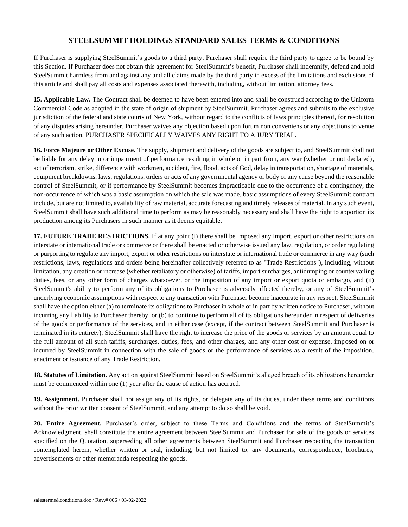If Purchaser is supplying SteelSummit's goods to a third party, Purchaser shall require the third party to agree to be bound by this Section. If Purchaser does not obtain this agreement for SteelSummit's benefit, Purchaser shall indemnify, defend and hold SteelSummit harmless from and against any and all claims made by the third party in excess of the limitations and exclusions of this article and shall pay all costs and expenses associated therewith, including, without limitation, attorney fees.

**15. Applicable Law.** The Contract shall be deemed to have been entered into and shall be construed according to the Uniform Commercial Code as adopted in the state of origin of shipment by SteelSummit. Purchaser agrees and submits to the exclusive jurisdiction of the federal and state courts of New York, without regard to the conflicts of laws principles thereof, for resolution of any disputes arising hereunder. Purchaser waives any objection based upon forum non conveniens or any objections to venue of any such action. PURCHASER SPECIFICALLY WAIVES ANY RIGHT TO A JURY TRIAL.

**16. Force Majeure or Other Excuse.** The supply, shipment and delivery of the goods are subject to, and SteelSummit shall not be liable for any delay in or impairment of performance resulting in whole or in part from, any war (whether or not declared), act of terrorism, strike, difference with workmen, accident, fire, flood, acts of God, delay in transportation, shortage of materials, equipment breakdowns, laws, regulations, orders or acts of any governmental agency or body or any cause beyond the reasonable control of SteelSummit, or if performance by SteelSummit becomes impracticable due to the occurrence of a contingency, the non-occurrence of which was a basic assumption on which the sale was made, basic assumptions of every SteelSummit contract include, but are not limited to, availability of raw material, accurate forecasting and timely releases of material. In any such event, SteelSummit shall have such additional time to perform as may be reasonably necessary and shall have the right to apportion its production among its Purchasers in such manner as it deems equitable.

**17. FUTURE TRADE RESTRICTIONS.** If at any point (i) there shall be imposed any import, export or other restrictions on interstate or international trade or commerce or there shall be enacted or otherwise issued any law, regulation, or order regulating or purporting to regulate any import, export or other restrictions on interstate or international trade or commerce in any way (such restrictions, laws, regulations and orders being hereinafter collectively referred to as "Trade Restrictions"), including, without limitation, any creation or increase (whether retaliatory or otherwise) of tariffs, import surcharges, antidumping or countervailing duties, fees, or any other form of charges whatsoever, or the imposition of any import or export quota or embargo, and (ii) SteelSummit's ability to perform any of its obligations to Purchaser is adversely affected thereby, or any of SteelSummit's underlying economic assumptions with respect to any transaction with Purchaser become inaccurate in any respect, SteelSummit shall have the option either (a) to terminate its obligations to Purchaser in whole or in part by written notice to Purchaser, without incurring any liability to Purchaser thereby, or (b) to continue to perform all of its obligations hereunder in respect of deliveries of the goods or performance of the services, and in either case (except, if the contract between SteelSummit and Purchaser is terminated in its entirety), SteelSummit shall have the right to increase the price of the goods or services by an amount equal to the full amount of all such tariffs, surcharges, duties, fees, and other charges, and any other cost or expense, imposed on or incurred by SteelSummit in connection with the sale of goods or the performance of services as a result of the imposition, enactment or issuance of any Trade Restriction.

**18. Statutes of Limitation.** Any action against SteelSummit based on SteelSummit's alleged breach of its obligations hereunder must be commenced within one (1) year after the cause of action has accrued.

**19. Assignment.** Purchaser shall not assign any of its rights, or delegate any of its duties, under these terms and conditions without the prior written consent of SteelSummit, and any attempt to do so shall be void.

**20. Entire Agreement.** Purchaser's order, subject to these Terms and Conditions and the terms of SteelSummit's Acknowledgment, shall constitute the entire agreement between SteelSummit and Purchaser for sale of the goods or services specified on the Quotation, superseding all other agreements between SteelSummit and Purchaser respecting the transaction contemplated herein, whether written or oral, including, but not limited to, any documents, correspondence, brochures, advertisements or other memoranda respecting the goods.